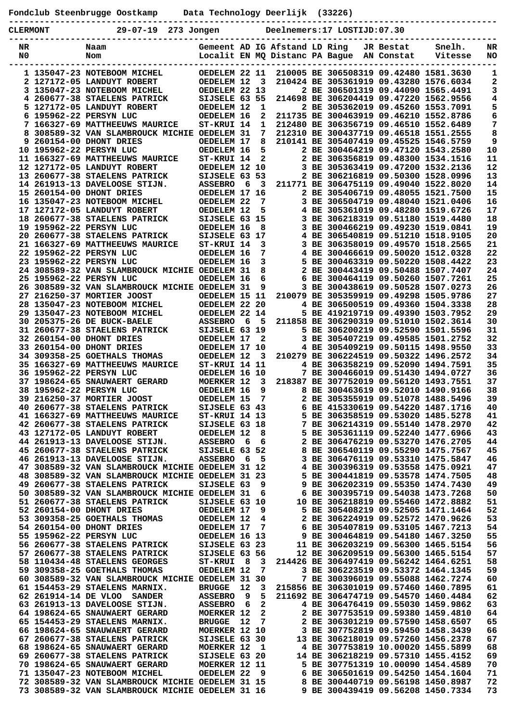| Fondclub Steenbrugge Oostkamp | Data Technology Deerlijk (33226) |  |
|-------------------------------|----------------------------------|--|
|                               |                                  |  |

| . |  |  |
|---|--|--|

| <b>CLERMONT</b> | ------------<br>$29 - 07 - 19$<br>273 Jongen                                      |                                     |     |              |                               | Deelnemers:17 LOSTIJD:07.30               |           |                                                                                  |          |
|-----------------|-----------------------------------------------------------------------------------|-------------------------------------|-----|--------------|-------------------------------|-------------------------------------------|-----------|----------------------------------------------------------------------------------|----------|
| NR<br>N0        | Naam                                                                              |                                     |     |              | Gemeent AD IG Afstand LD Ring | Localit EN MQ Distanc PA Bague AN Constat | JR Bestat | Snelh.<br>Vitesse                                                                | NR<br>NO |
|                 | Nom                                                                               |                                     |     |              |                               |                                           |           |                                                                                  |          |
|                 | 1 135047-23 NOTEBOOM MICHEL                                                       | OEDELEM 22 11                       |     |              |                               |                                           |           | 210005 BE 306508319 09.42480 1581.3630                                           | 1        |
|                 | 2 127172-05 LANDUYT ROBERT<br>3 135047-23 NOTEBOOM MICHEL                         | OEDELEM 12<br>OEDELEM 22 13         |     | 3            |                               |                                           |           | 210424 BE 305361919 09.43280 1576.6034<br>2 BE 306501319 09.44090 1565.4491      | 2<br>3   |
| 4               | 260677-38 STAELENS PATRICK                                                        | SIJSELE 63 55                       |     |              |                               |                                           |           | 214698 BE 306204419 09.47220 1562.9556                                           | 4        |
|                 | 5 127172-05 LANDUYT ROBERT                                                        | OEDELEM 12                          |     | 1            |                               |                                           |           | 2 BE 305362019 09.45260 1553.7091                                                | 5        |
| 6               | 195962-22 PERSYN LUC                                                              | OEDELEM 16                          |     | 2<br>1       |                               |                                           |           | 211735 BE 300463919 09.46210 1552.8786<br>212480 BE 306356719 09.46510 1552.6489 | 6<br>7   |
| 8               | 7 166327-69 MATTHEEUWS MAURICE<br>308589-32 VAN SLAMBROUCK MICHIE                 | ST-KRUI 14<br><b>OEDELEM 31</b>     |     | 7            |                               |                                           |           | 212310 BE 300437719 09.46518 1551.2555                                           | 8        |
|                 | 9 260154-00 DHONT DRIES                                                           | OEDELEM 17                          |     | 8            |                               |                                           |           | 210141 BE 305407419 09.45525 1546.5759                                           | 9        |
|                 | 10 195962-22 PERSYN LUC                                                           | OEDELEM 16                          |     | 5            |                               |                                           |           | 2 BE 300464219 09.47120 1543.2580                                                | 10       |
|                 | 11 166327-69 MATTHEEUWS MAURICE                                                   | ST-KRUI 14                          |     | $\mathbf{2}$ |                               |                                           |           | 2 BE 306356819 09.48300 1534.1516<br>3 BE 305363419 09.47200 1532.2136           | 11<br>12 |
|                 | 12 127172-05 LANDUYT ROBERT<br>13 260677-38 STAELENS PATRICK                      | OEDELEM 12 10<br>SIJSELE 63 53      |     |              |                               |                                           |           | 2 BE 306216819 09.50300 1528.0996                                                | 13       |
|                 | 14 261913-13 DAVELOOSE STIJN.                                                     | <b>ASSEBRO</b>                      | 6   | 3            |                               |                                           |           | 211771 BE 306475119 09.49040 1522.8020                                           | 14       |
|                 | 15 260154-00 DHONT DRIES                                                          | OEDELEM 17 16                       |     |              |                               |                                           |           | 2 BE 305406719 09.48055 1521.7500                                                | 15       |
|                 | 16 135047-23 NOTEBOOM MICHEL                                                      | OEDELEM 22                          |     | 7            |                               |                                           |           | 3 BE 306504719 09.48040 1521.0406                                                | 16       |
|                 | 17 127172-05 LANDUYT ROBERT<br>18 260677-38 STAELENS PATRICK                      | OEDELEM 12<br>SIJSELE 63 15         |     | 5            |                               |                                           |           | 4 BE 305361019 09.48280 1519.6726<br>3 BE 306218319 09.51180 1519.4480           | 17<br>18 |
|                 | 19 195962-22 PERSYN LUC                                                           | OEDELEM 16                          |     | 8            |                               |                                           |           | 3 BE 300466219 09.49230 1519.0841                                                | 19       |
|                 | 20 260677-38 STAELENS PATRICK                                                     | SIJSELE 63 17                       |     |              |                               |                                           |           | 4 BE 306540819 09.51210 1518.9105                                                | 20       |
|                 | 21 166327-69 MATTHEEUWS MAURICE                                                   | ST-KRUI 14                          |     | 3            |                               |                                           |           | 3 BE 306358019 09.49570 1518.2565                                                | 21       |
|                 | 22 195962-22 PERSYN LUC<br>23 195962-22 PERSYN LUC                                | OEDELEM 16<br>OEDELEM 16            |     | 7<br>3       | 5.                            |                                           |           | 4 BE 300466619 09.50020 1512.0328<br>BE 300463319 09.50220 1508.4422             | 22<br>23 |
|                 | 24 308589-32 VAN SLAMBROUCK MICHIE OEDELEM 31                                     |                                     |     | 8            |                               |                                           |           | 2 BE 300443419 09.50488 1507.7407                                                | 24       |
|                 | 25 195962-22 PERSYN LUC                                                           | OEDELEM 16                          |     | 6            | 6                             |                                           |           | BE 300464119 09.50260 1507.7261                                                  | 25       |
|                 | 26 308589-32 VAN SLAMBROUCK MICHIE OEDELEM 31                                     |                                     |     | 9            | 3.                            |                                           |           | BE 300438619 09.50528 1507.0273                                                  | 26       |
|                 | 27 216250-37 MORTIER JOOST<br>28 135047-23 NOTEBOOM MICHEL                        | OEDELEM 15 11<br>OEDELEM 22 20      |     |              |                               |                                           |           | 210079 BE 305359919 09.49298 1505.9786<br>4 BE 306500519 09.49360 1504.3338      | 27<br>28 |
|                 | 29 135047-23 NOTEBOOM MICHEL                                                      | OEDELEM 22 14                       |     |              |                               |                                           |           | 5 BE 419219719 09.49390 1503.7952                                                | 29       |
|                 | 30 205375-26 DE BUCK-BAELE                                                        | <b>ASSEBRO</b>                      | 6   | 5            |                               |                                           |           | 211858 BE 306290319 09.51010 1502.3614                                           | 30       |
|                 | 31 260677-38 STAELENS PATRICK                                                     | SIJSELE 63 19                       |     |              |                               |                                           |           | 5 BE 306200219 09.52590 1501.5596                                                | 31       |
|                 | 32 260154-00 DHONT DRIES<br>33 260154-00 DHONT DRIES                              | OEDELEM 17<br>OEDELEM 17 10         |     | $\mathbf{2}$ |                               |                                           |           | 3 BE 305407219 09.49585 1501.2752<br>4 BE 305409219 09.50115 1498.9550           | 32<br>33 |
|                 | 34 309358-25 GOETHALS THOMAS                                                      | OEDELEM 12                          |     | 3            |                               |                                           |           | 210279 BE 306224519 09.50322 1496.2572                                           | 34       |
|                 | 35 166327-69 MATTHEEUWS MAURICE                                                   | ST-KRUI 14 11                       |     |              |                               |                                           |           | 4 BE 306358219 09.52090 1494.7591                                                | 35       |
|                 | 36 195962-22 PERSYN LUC                                                           | OEDELEM 16 10                       |     |              |                               |                                           |           | 7 BE 300466019 09.51430 1494.0727                                                | 36       |
|                 | 37 198624-65 SNAUWAERT GERARD<br>38 195962-22 PERSYN LUC                          | <b>MOERKER 12</b>                   |     | 3<br>9       |                               |                                           |           | 218387 BE 307752019 09.56120 1493.7551<br>8 BE 300463619 09.52010 1490.9166      | 37<br>38 |
|                 | 39 216250-37 MORTIER JOOST                                                        | OEDELEM 16<br>OEDELEM 15            |     | 7            |                               |                                           |           | 2 BE 305355919 09.51078 1488.5496                                                | 39       |
|                 | 40 260677-38 STAELENS PATRICK                                                     | SIJSELE 63 43                       |     |              |                               |                                           |           | 6 BE 415330619 09.54220 1487.1716                                                | 40       |
|                 | 41 166327-69 MATTHEEUWS MAURICE                                                   | ST-KRUI 14 13                       |     |              |                               |                                           |           | 5 BE 306358519 09.53020 1485.5278                                                | 41       |
|                 | 42 260677-38 STAELENS PATRICK                                                     | SIJSELE 63 18                       |     |              |                               |                                           |           | 7 BE 306214319 09.55140 1478.2970                                                | 42       |
|                 | 43 127172-05 LANDUYT ROBERT<br>44 261913-13 DAVELOOSE STIJN.                      | OEDELEM 12<br><b>ASSEBRO</b>        | 6   | 8<br>6       |                               |                                           |           | 5 BE 305361119 09.52240 1477.6966<br>2 BE 306476219 09.53270 1476.2705           | 43<br>44 |
|                 | 45 260677-38 STAELENS PATRICK                                                     | SIJSELE 63 52                       |     |              |                               |                                           |           | 8 BE 306540119 09.55290 1475.7567                                                | 45       |
|                 | 46 261913-13 DAVELOOSE STIJN.                                                     | <b>ASSEBRO</b>                      | - 6 | 5            |                               |                                           |           | 3 BE 306476119 09.53310 1475.5847                                                | 46       |
|                 | 47 308589-32 VAN SLAMBROUCK MICHIE OEDELEM 31 12                                  |                                     |     |              |                               |                                           |           | 4 BE 300396319 09.53558 1475.0921                                                | 47       |
|                 | 48 308589-32 VAN SLAMBROUCK MICHIE OEDELEM 31 23<br>49 260677-38 STAELENS PATRICK | SIJSELE 63                          |     | 9            |                               |                                           |           | 5 BE 300441819 09.53578 1474.7505<br>9 BE 306202319 09.55350 1474.7430           | 48<br>49 |
|                 | 50 308589-32 VAN SLAMBROUCK MICHIE OEDELEM 31                                     |                                     |     | 6            |                               |                                           |           | 6 BE 300395719 09.54038 1473.7268                                                | 50       |
|                 | 51 260677-38 STAELENS PATRICK                                                     | SIJSELE 63 10                       |     |              |                               |                                           |           | 10 BE 306218819 09.55460 1472.8882                                               | 51       |
|                 | 52 260154-00 DHONT DRIES                                                          | OEDELEM 17                          |     | 9            |                               |                                           |           | 5 BE 305408219 09.52505 1471.1464                                                | 52       |
|                 | 53 309358-25 GOETHALS THOMAS<br>54 260154-00 DHONT DRIES                          | OEDELEM 12<br>OEDELEM 17            |     | 4<br>7       |                               |                                           |           | 2 BE 306224919 09.52572 1470.9626<br>6 BE 305407819 09.53105 1467.7213           | 53<br>54 |
|                 | 55 195962-22 PERSYN LUC                                                           | OEDELEM 16 13                       |     |              |                               |                                           |           | 9 BE 300464819 09.54180 1467.3250                                                | 55       |
|                 | 56 260677-38 STAELENS PATRICK                                                     | SIJSELE 63 23                       |     |              |                               |                                           |           | 11 BE 306203219 09.56300 1465.5154                                               | 56       |
|                 | 57 260677-38 STAELENS PATRICK                                                     | SIJSELE 63 56                       |     |              |                               |                                           |           | 12 BE 306209519 09.56300 1465.5154                                               | 57       |
|                 | 58 110434-48 STAELENS GEORGES<br>59 309358-25 GOETHALS THOMAS                     | <b>ST-KRUI</b><br>OEDELEM 12        | - 8 | $_{3}$<br>7  |                               |                                           |           | 214426 BE 306497419 09.56242 1464.6251<br>3 BE 306223519 09.53372 1464.1345      | 58<br>59 |
|                 | 60 308589-32 VAN SLAMBROUCK MICHIE OEDELEM 31 30                                  |                                     |     |              |                               |                                           |           | 7 BE 300396019 09.55088 1462.7274                                                | 60       |
|                 | 61 154453-29 STAELENS MARNIX.                                                     | <b>BRUGGE</b>                       | 12  | 3            |                               |                                           |           | 215856 BE 306301019 09.57460 1460.7895                                           | 61       |
|                 | 62 261914-14 DE VLOO SANDER                                                       | <b>ASSEBRO</b>                      | 9   | 5            |                               |                                           |           | 211692 BE 306474719 09.54570 1460.4484                                           | 62       |
|                 | 63 261913-13 DAVELOOSE STIJN.<br>64 198624-65 SNAUWAERT GERARD                    | <b>ASSEBRO</b><br><b>MOERKER 12</b> | 6   | 2<br>2       |                               |                                           |           | 4 BE 306476419 09.55030 1459.9862<br>2 BE 307753519 09.59380 1459.4810           | 63<br>64 |
|                 | 65 154453-29 STAELENS MARNIX.                                                     | <b>BRUGGE</b>                       | 12  | 7            |                               |                                           |           | 2 BE 306301219 09.57590 1458.6507                                                | 65       |
|                 | 66 198624-65 SNAUWAERT GERARD                                                     | MOERKER 12 10                       |     |              |                               |                                           |           | 3 BE 307752819 09.59450 1458.3439                                                | 66       |
|                 | 67 260677-38 STAELENS PATRICK                                                     | SIJSELE 63 30                       |     |              |                               |                                           |           | 13 BE 306218019 09.57260 1456.2378                                               | 67       |
|                 | 68 198624-65 SNAUWAERT GERARD<br>69 260677-38 STAELENS PATRICK                    | <b>MOERKER 12</b><br>SIJSELE 63 20  |     | 1            |                               |                                           |           | 4 BE 307753819 10.00020 1455.5899<br>14 BE 306218219 09.57310 1455.4152          | 68<br>69 |
|                 | 70 198624-65 SNAUWAERT GERARD                                                     | MOERKER 12 11                       |     |              |                               |                                           |           | 5 BE 307751319 10.00090 1454.4589                                                | 70       |
|                 | 71 135047-23 NOTEBOOM MICHEL                                                      | OEDELEM 22                          |     | 9            |                               |                                           |           | 6 BE 306501619 09.54250 1454.1604                                                | 71       |
|                 | 72 308589-32 VAN SLAMBROUCK MICHIE OEDELEM 31 15                                  |                                     |     |              |                               |                                           |           | 8 BE 300440719 09.56198 1450.8987                                                | 72       |
|                 | 73 308589-32 VAN SLAMBROUCK MICHIE OEDELEM 31 16                                  |                                     |     |              |                               |                                           |           | 9 BE 300439419 09.56208 1450.7334                                                | 73       |